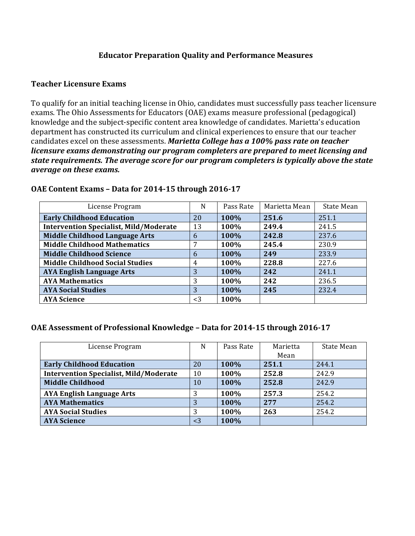## **Educator Preparation Quality and Performance Measures**

#### **Teacher Licensure Exams**

To qualify for an initial teaching license in Ohio, candidates must successfully pass teacher licensure exams. The Ohio Assessments for Educators (OAE) exams measure professional (pedagogical) knowledge and the subject-specific content area knowledge of candidates. Marietta's education department has constructed its curriculum and clinical experiences to ensure that our teacher candidates excel on these assessments. Marietta College has a 100% pass rate on teacher *licensure exams demonstrating our program completers are prepared to meet licensing and state requirements. The average score for our program completers is typically above the state average on these exams.*

| License Program                               | N     | Pass Rate | Marietta Mean | State Mean |
|-----------------------------------------------|-------|-----------|---------------|------------|
| <b>Early Childhood Education</b>              | 20    | 100%      | 251.6         | 251.1      |
| <b>Intervention Specialist, Mild/Moderate</b> | 13    | 100%      | 249.4         | 241.5      |
| <b>Middle Childhood Language Arts</b>         | 6     | 100%      | 242.8         | 237.6      |
| <b>Middle Childhood Mathematics</b>           |       | 100%      | 245.4         | 230.9      |
| <b>Middle Childhood Science</b>               | 6     | 100%      | 249           | 233.9      |
| <b>Middle Childhood Social Studies</b>        | 4     | 100%      | 228.8         | 227.6      |
| <b>AYA English Language Arts</b>              | 3     | 100%      | 242           | 241.1      |
| <b>AYA Mathematics</b>                        | 3     | 100%      | 242           | 236.5      |
| <b>AYA Social Studies</b>                     | 3     | 100%      | 245           | 232.4      |
| <b>AYA Science</b>                            | $<$ 3 | 100%      |               |            |

#### **OAE Content Exams - Data for 2014-15 through 2016-17**

## **OAE Assessment of Professional Knowledge - Data for 2014-15 through 2016-17**

| License Program                               | N     | Pass Rate | Marietta | State Mean |
|-----------------------------------------------|-------|-----------|----------|------------|
|                                               |       |           | Mean     |            |
| <b>Early Childhood Education</b>              | 20    | 100%      | 251.1    | 244.1      |
| <b>Intervention Specialist, Mild/Moderate</b> | 10    | 100%      | 252.8    | 242.9      |
| <b>Middle Childhood</b>                       | 10    | 100%      | 252.8    | 242.9      |
| <b>AYA English Language Arts</b>              |       | 100%      | 257.3    | 254.2      |
| <b>AYA Mathematics</b>                        | 3     | 100%      | 277      | 254.2      |
| <b>AYA Social Studies</b>                     | 3     | 100%      | 263      | 254.2      |
| <b>AYA Science</b>                            | $<$ 3 | 100%      |          |            |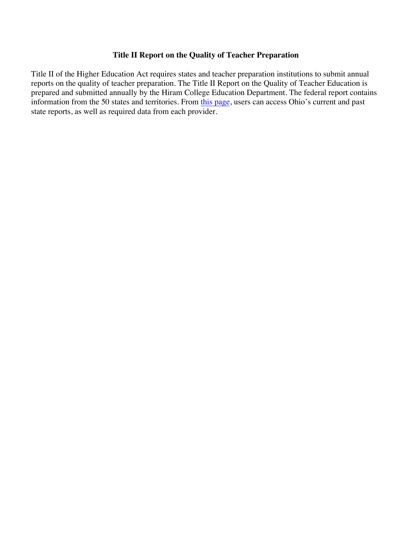## **Title II Report on the Quality of Teacher Preparation**

Title II of the Higher Education Act requires states and teacher preparation institutions to submit annual reports on the quality of teacher preparation. The Title II Report on the Quality of Teacher Education is prepared and submitted annually by the Hiram College Education Department. The federal report contains information from the 50 states and territories. From this page, users can access Ohio's current and past state reports, as well as required data from each provider.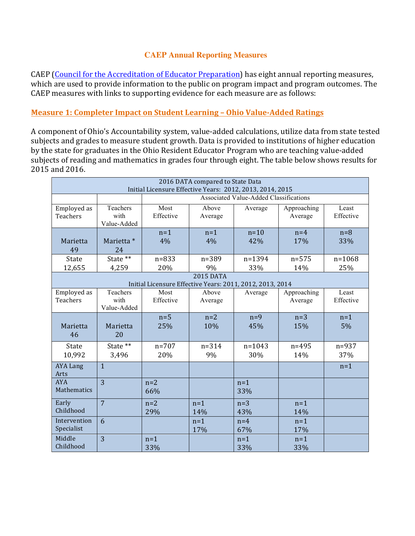## **CAEP Annual Reporting Measures**

CAEP (Council for the Accreditation of Educator Preparation) has eight annual reporting measures, which are used to provide information to the public on program impact and program outcomes. The CAEP measures with links to supporting evidence for each measure are as follows:

# **Measure 1: Completer Impact on Student Learning - Ohio Value-Added Ratings**

A component of Ohio's Accountability system, value-added calculations, utilize data from state tested subjects and grades to measure student growth. Data is provided to institutions of higher education by the state for graduates in the Ohio Resident Educator Program who are teaching value-added subjects of reading and mathematics in grades four through eight. The table below shows results for 2015 and 2016.

| 2016 DATA compared to State Data<br>Initial Licensure Effective Years: 2012, 2013, 2014, 2015 |                                               |                                                           |                  |                   |                        |                    |
|-----------------------------------------------------------------------------------------------|-----------------------------------------------|-----------------------------------------------------------|------------------|-------------------|------------------------|--------------------|
|                                                                                               | <b>Associated Value-Added Classifications</b> |                                                           |                  |                   |                        |                    |
| Employed as<br>Teachers                                                                       | Teachers<br>with<br>Value-Added               | Most<br>Effective                                         | Above<br>Average | Average           | Approaching<br>Average | Least<br>Effective |
| Marietta<br>49                                                                                | Marietta *<br>24                              | $n=1$<br>4%                                               | $n=1$<br>4%      | $n=10$<br>42%     | $n=4$<br>17%           | $n=8$<br>33%       |
| State<br>12,655                                                                               | State **<br>4,259                             | $n = 833$<br>20%                                          | $n = 389$<br>9%  | n=1394<br>33%     | $n = 575$<br>14%       | $n = 1068$<br>25%  |
| <b>2015 DATA</b>                                                                              |                                               |                                                           |                  |                   |                        |                    |
|                                                                                               |                                               | Initial Licensure Effective Years: 2011, 2012, 2013, 2014 |                  |                   |                        |                    |
| Employed as<br>Teachers                                                                       | Teachers<br>with<br>Value-Added               | Most<br>Effective                                         | Above<br>Average | Average           | Approaching<br>Average | Least<br>Effective |
| Marietta<br>46                                                                                | Marietta<br>20                                | $n=5$<br>25%                                              | $n=2$<br>10%     | $n=9$<br>45%      | $n=3$<br>15%           | $n=1$<br>5%        |
| State<br>10,992                                                                               | State **<br>3,496                             | $n = 707$<br>20%                                          | $n = 314$<br>9%  | $n = 1043$<br>30% | $n = 495$<br>14%       | $n = 937$<br>37%   |
| <b>AYA Lang</b><br>Arts                                                                       | $\mathbf{1}$                                  |                                                           |                  |                   |                        | $n=1$              |
| <b>AYA</b><br>Mathematics                                                                     | $\overline{3}$                                | $n=2$<br>66%                                              |                  | $n=1$<br>33%      |                        |                    |
| Early<br>Childhood                                                                            | $\overline{7}$                                | $n=2$<br>29%                                              | $n=1$<br>14%     | $n=3$<br>43%      | $n=1$<br>14%           |                    |
| Intervention<br>Specialist                                                                    | 6                                             |                                                           | $n=1$<br>17%     | $n=4$<br>67%      | $n=1$<br>17%           |                    |
| Middle<br>Childhood                                                                           | 3                                             | $n=1$<br>33%                                              |                  | $n=1$<br>33%      | $n=1$<br>33%           |                    |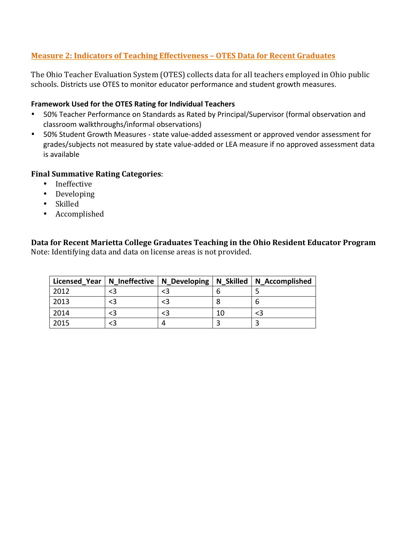# **Measure 2: Indicators of Teaching Effectiveness - OTES Data for Recent Graduates**

The Ohio Teacher Evaluation System (OTES) collects data for all teachers employed in Ohio public schools. Districts use OTES to monitor educator performance and student growth measures.

#### **Framework Used for the OTES Rating for Individual Teachers**

- 50% Teacher Performance on Standards as Rated by Principal/Supervisor (formal observation and classroom walkthroughs/informal observations)
- 50% Student Growth Measures state value-added assessment or approved vendor assessment for grades/subjects not measured by state value-added or LEA measure if no approved assessment data is available

#### **Final Summative Rating Categories:**

- Ineffective
- Developing
- Skilled
- Accomplished

**Data for Recent Marietta College Graduates Teaching in the Ohio Resident Educator Program** Note: Identifying data and data on license areas is not provided.

| Licensed Year |  |    | N_Ineffective   N_Developing   N_Skilled   N_Accomplished |
|---------------|--|----|-----------------------------------------------------------|
| 2012          |  |    |                                                           |
| 2013          |  |    | b                                                         |
| 2014          |  | 10 | <3                                                        |
| 2015          |  |    |                                                           |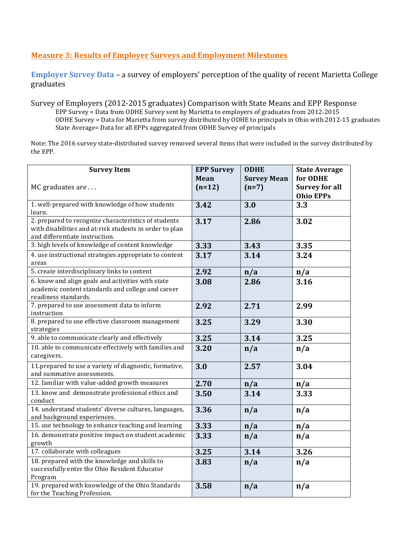## **Measure 3: Results of Employer Surveys and Employment Milestones**

**Employer Survey Data** – a survey of employers' perception of the quality of recent Marietta College graduates

Survey of Employers (2012-2015 graduates) Comparison with State Means and EPP Response EPP Survey = Data from ODHE Survey sent by Marietta to employers of graduates from 2012-2015 ODHE Survey = Data for Marietta from survey distributed by ODHE to principals in Ohio with 2012-15 graduates State Average= Data for all EPPs aggregated from ODHE Survey of principals

Note: The 2016 survey state-distributed survey removed several items that were included in the survey distributed by the EPP.

| <b>Survey Item</b>                                                                        | <b>EPP Survey</b> | <b>ODHE</b>        | <b>State Average</b>  |
|-------------------------------------------------------------------------------------------|-------------------|--------------------|-----------------------|
|                                                                                           | Mean              | <b>Survey Mean</b> | for ODHE              |
| MC graduates are                                                                          | $(n=12)$          | $(n=7)$            | <b>Survey for all</b> |
|                                                                                           |                   |                    | <b>Ohio EPPs</b>      |
| 1. well-prepared with knowledge of how students                                           | 3.42              | 3.0                | 3.3                   |
| learn.                                                                                    |                   |                    |                       |
| 2. prepared to recognize characteristics of students                                      | 3.17              | 2.86               | 3.02                  |
| with disabilities and at-risk students in order to plan<br>and differentiate instruction. |                   |                    |                       |
| 3. high levels of knowledge of content knowledge                                          |                   |                    |                       |
|                                                                                           | 3.33              | 3.43               | 3.35                  |
| 4. use instructional strategies appropriate to content<br>areas                           | 3.17              | 3.14               | 3.24                  |
| 5. create interdisciplinary links to content                                              | 2.92              | n/a                | n/a                   |
| 6. know and align goals and activities with state                                         | 3.08              | 2.86               | 3.16                  |
| academic content standards and college and career                                         |                   |                    |                       |
| readiness standards.                                                                      |                   |                    |                       |
| 7. prepared to use assessment data to inform<br>instruction                               | 2.92              | 2.71               | 2.99                  |
| 8. prepared to use effective classroom management                                         | 3.25              | 3.29               | 3.30                  |
| strategies                                                                                |                   |                    |                       |
| 9. able to communicate clearly and effectively                                            | 3.25              | 3.14               | 3.25                  |
| 10. able to communicate effectively with families and                                     | 3.20              | n/a                | n/a                   |
| caregivers.                                                                               |                   |                    |                       |
| 11.prepared to use a variety of diagnostic, formative,                                    | 3.0               | 2.57               | 3.04                  |
| and summative assessments.                                                                |                   |                    |                       |
| 12. familiar with value-added growth measures                                             | 2.70              | n/a                | n/a                   |
| 13. know and demonstrate professional ethics and                                          | 3.50              | 3.14               | 3.33                  |
| conduct                                                                                   |                   |                    |                       |
| 14. understand students' diverse cultures, languages,                                     | 3.36              | n/a                | n/a                   |
| and background experiences.                                                               |                   |                    |                       |
| 15. use technology to enhance teaching and learning                                       | 3.33              | n/a                | n/a                   |
| 16. demonstrate positive impact on student academic                                       | 3.33              | n/a                | n/a                   |
| growth                                                                                    |                   |                    |                       |
| 17. collaborate with colleagues                                                           | 3.25              | 3.14               | 3.26                  |
| 18. prepared with the knowledge and skills to                                             | 3.83              | n/a                | n/a                   |
| successfully enter the Ohio Resident Educator                                             |                   |                    |                       |
| Program                                                                                   |                   |                    |                       |
| 19. prepared with knowledge of the Ohio Standards                                         | 3.58              | n/a                | n/a                   |
| for the Teaching Profession.                                                              |                   |                    |                       |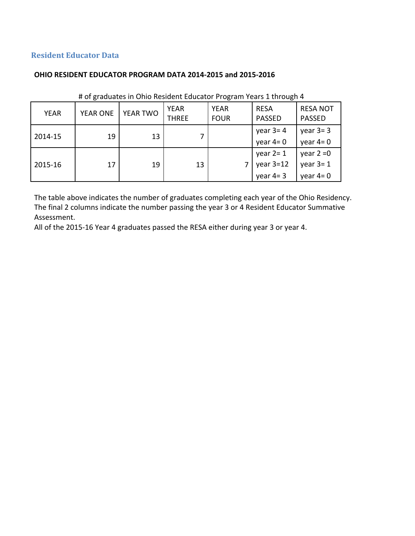# **Resident Educator Data**

#### **OHIO RESIDENT EDUCATOR PROGRAM DATA 2014-2015 and 2015-2016**

| <b>YEAR</b> | <b>YEAR ONE</b> | YEAR TWO | <b>YEAR</b><br><b>THREE</b> | <b>YEAR</b><br><b>FOUR</b> | <b>RESA</b><br><b>PASSED</b>              | <b>RESA NOT</b><br><b>PASSED</b>         |
|-------------|-----------------|----------|-----------------------------|----------------------------|-------------------------------------------|------------------------------------------|
| 2014-15     | 19              | 13       |                             |                            | year $3=4$<br>year $4=0$                  | year $3=3$<br>year $4=0$                 |
| 2015-16     | 17              | 19       | 13                          |                            | year $2 = 1$<br>year $3=12$<br>year $4=3$ | year $2 = 0$<br>year $3=1$<br>year $4=0$ |

## # of graduates in Ohio Resident Educator Program Years 1 through 4

The table above indicates the number of graduates completing each year of the Ohio Residency. The final 2 columns indicate the number passing the year 3 or 4 Resident Educator Summative Assessment. 

All of the 2015-16 Year 4 graduates passed the RESA either during year 3 or year 4.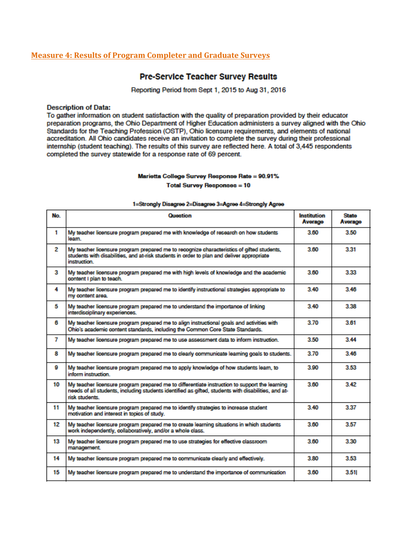#### **Measure 4: Results of Program Completer and Graduate Surveys**

#### **Pre-Service Teacher Survey Results**

Reporting Period from Sept 1, 2015 to Aug 31, 2016

#### **Description of Data:**

To gather information on student satisfaction with the quality of preparation provided by their educator preparation programs, the Ohio Department of Higher Education administers a survey aligned with the Ohio Standards for the Teaching Profession (OSTP), Ohio licensure requirements, and elements of national accreditation. All Ohio candidates receive an invitation to complete the survey during their professional internship (student teaching). The results of this survey are reflected here. A total of 3,445 respondents completed the survey statewide for a response rate of 69 percent.

#### Marietta College Survey Response Rate = 90.91%

**Total Survey Responses = 10** 

| No. | Question                                                                                                                                                                                                               | Institution<br>Average | <b>State</b><br>Average |
|-----|------------------------------------------------------------------------------------------------------------------------------------------------------------------------------------------------------------------------|------------------------|-------------------------|
| 1   | My teacher licensure program prepared me with knowledge of research on how students<br>learn                                                                                                                           | 3.60                   | 3.50                    |
| 2   | My teacher licensure program prepared me to recognize characteristics of gifted students,<br>students with disabilities, and at-risk students in order to plan and deliver appropriate<br>instruction.                 | 3.60                   | 3.31                    |
| 3   | My teacher licensure program prepared me with high levels of knowledge and the academic<br>content I plan to teach.                                                                                                    | 3.60                   | 3.33                    |
| 4   | My teacher licensure program prepared me to identify instructional strategies appropriate to<br>my content area.                                                                                                       | 340                    | 3.46                    |
| 5   | My teacher licensure program prepared me to understand the importance of linking<br>interdisciplinary experiences.                                                                                                     | 340                    | 3.38                    |
| 6   | My teacher licensure program prepared me to align instructional goals and activities with<br>Ohio's academic content standards, including the Common Core State Standards.                                             | 370                    | 3.61                    |
| 7   | My teacher licensure program prepared me to use assessment data to inform instruction.                                                                                                                                 | 3.50                   | 3.44                    |
| 8   | My teacher licensure program prepared me to clearly communicate learning goals to students.                                                                                                                            | 370                    | 3.46                    |
| Ω   | My teacher licensure program prepared me to apply knowledge of how students learn, to<br>inform instruction                                                                                                            | 3.90                   | 3.53                    |
| 10  | My teacher licensure program prepared me to differentiate instruction to support the learning<br>needs of all students, including students identified as gifted, students with disabilities, and at-<br>risk students. | 3.60                   | 3.42                    |
| 11  | My teacher licensure program prepared me to identify strategies to increase student<br>motivation and interest in topics of study.                                                                                     | 3.40                   | 3.37                    |
| 12  | My teacher licensure program prepared me to create learning situations in which students<br>work independently, collaboratively, and/or a whole class.                                                                 | 3.60                   | 3.57                    |
| 13  | My teacher licensure program prepared me to use strategies for effective classroom<br>management.                                                                                                                      | 3.60                   | 3.30                    |
| 14  | My teacher licensure program prepared me to communicate clearly and effectively.                                                                                                                                       | 3.80                   | 3.53                    |
| 15  | My teacher licensure program prepared me to understand the importance of communication                                                                                                                                 | 3.60                   | 3.51                    |

#### 1=Strongly Disagree 2=Disagree 3=Agree 4=Strongly Agree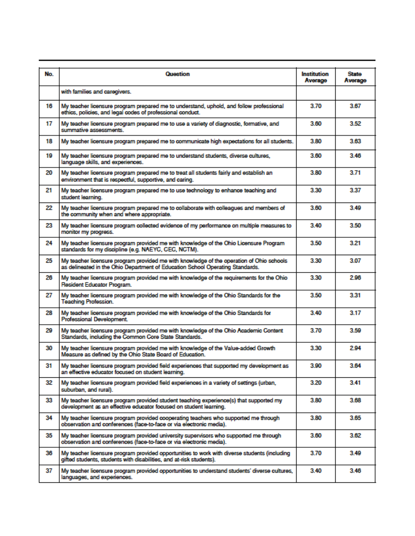| No. | <b>Question</b>                                                                                                                                                           | <b>Institution</b><br>Average | <b>State</b><br>Average |
|-----|---------------------------------------------------------------------------------------------------------------------------------------------------------------------------|-------------------------------|-------------------------|
|     | with families and caregivers.                                                                                                                                             |                               |                         |
| 16  | My teacher licensure program prepared me to understand, uphold, and follow professional<br>ethics, policies, and legal codes of professional conduct.                     | 3.70                          | 3.67                    |
| 17  | My teacher licensure program prepared me to use a variety of diagnostic, formative, and<br>summative assessments.                                                         | 3.60                          | 3.52                    |
| 18  | My teacher licensure program prepared me to communicate high expectations for all students.                                                                               | 3.80                          | 3.63                    |
| 19  | My teacher licensure program prepared me to understand students, diverse cultures,<br>language skills, and experiences.                                                   | 3.60                          | 3.46                    |
| 20  | My teacher licensure program prepared me to treat all students fairly and establish an<br>environment that is respectful, supportive, and caring.                         | 3.80                          | 3.71                    |
| 21  | My teacher licensure program prepared me to use technology to enhance teaching and<br>student learning.                                                                   | 3.30                          | 3.37                    |
| 22  | My teacher licensure program prepared me to collaborate with colleagues and members of<br>the community when and where appropriate.                                       | 3.60                          | 3.49                    |
| 23  | My teacher licensure program collected evidence of my performance on multiple measures to<br>monitor my progress.                                                         | 3.40                          | 3.50                    |
| 24  | My teacher licensure program provided me with knowledge of the Ohio Licensure Program<br>standards for my discipline (e.g. NAEYC, CEC, NCTM).                             | 3.50                          | 3.21                    |
| 25  | My teacher licensure program provided me with knowledge of the operation of Ohio schools<br>as delineated in the Ohio Department of Education School Operating Standards. | 3.30                          | 3.07                    |
| 26  | My teacher licensure program provided me with knowledge of the requirements for the Ohio<br>Resident Educator Program.                                                    | 3.30                          | 2.96                    |
| 27  | My teacher licensure program provided me with knowledge of the Ohio Standards for the<br><b>Teaching Profession.</b>                                                      | 3.50                          | 3.31                    |
| 28  | My teacher licensure program provided me with knowledge of the Ohio Standards for<br>Professional Development.                                                            | 3.40                          | 3.17                    |
| 29  | My teacher licensure program provided me with knowledge of the Ohio Academic Content<br>Standards, including the Common Core State Standards.                             | 3.70                          | 3.59                    |
| 30  | My teacher licensure program provided me with knowledge of the Value-added Growth<br>Measure as defined by the Ohio State Board of Education.                             | 3.30                          | 2.94                    |
| 31  | My teacher licensure program provided field experiences that supported my development as<br>an effective educator focused on student learning.                            | 3.90                          | 3.64                    |
| 32  | My teacher licensure program provided field experiences in a variety of settings (urban,<br>suburban, and rural).                                                         | 3.20                          | 3.41                    |
| 33  | My teacher licensure program provided student teaching experience(s) that supported my<br>development as an effective educator focused on student learning.               | 3.80                          | 3.68                    |
| 34  | My teacher licensure program provided cooperating teachers who supported me through<br>observation and conferences (face-to-face or via electronic media).                | 3.80                          | 3.65                    |
| 35  | My teacher licensure program provided university supervisors who supported me through<br>observation and conferences (face-to-face or via electronic media).              | 3.60                          | 3.62                    |
| 36  | My teacher licensure program provided opportunities to work with diverse students (including<br>gifted students, students with disabilities, and at-risk students).       | 3.70                          | 3.49                    |
| 37  | My teacher licensure program provided opportunities to understand students' diverse cultures,<br>languages, and experiences.                                              | 3.40                          | 3.46                    |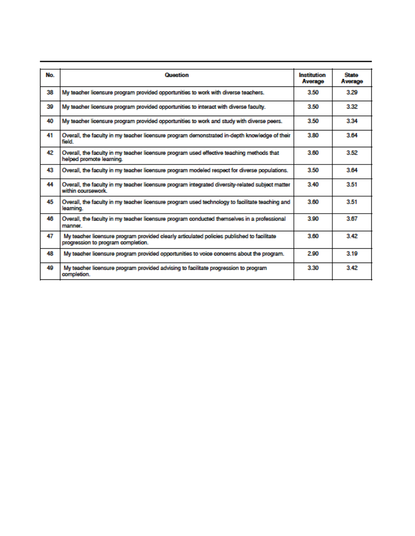| No | <b>Question</b>                                                                                                                  | Institution<br>Average | <b>State</b><br>Average |
|----|----------------------------------------------------------------------------------------------------------------------------------|------------------------|-------------------------|
| 38 | My teacher licensure program provided opportunities to work with diverse teachers.                                               | 3.50                   | 3.29                    |
| 39 | My teacher licensure program provided opportunities to interact with diverse faculty.                                            | 3.50                   | 3.32                    |
| 40 | My teacher licensure program provided opportunities to work and study with diverse peers.                                        | 3.50                   | 3.34                    |
| 41 | Overall, the faculty in my teacher licensure program demonstrated in-depth knowledge of their<br>field                           | 3.80                   | 3.64                    |
| 42 | Overall, the faculty in my teacher licensure program used effective teaching methods that<br>helped promote learning.            | 3.60                   | 3.52                    |
| 43 | Overall, the faculty in my teacher licensure program modeled respect for diverse populations.                                    | 3.50                   | 3.64                    |
| 44 | Overall, the faculty in my teacher licensure program integrated diversity-related subject matter<br>within coursework            | 3.40                   | 3.51                    |
| 45 | Overall, the faculty in my teacher licensure program used technology to facilitate teaching and<br>learning.                     | 3.60                   | 3.51                    |
| 46 | Overall, the faculty in my teacher licensure program conducted themselves in a professional<br>manner.                           | 3.90                   | 3.67                    |
| 47 | My teacher licensure program provided clearly articulated policies published to facilitate<br>progression to program completion. | 3.60                   | 3.42                    |
| 48 | My teacher licensure program provided opportunities to voice concerns about the program.                                         | 2.90                   | 3.19                    |
| 49 | My teacher licensure program provided advising to facilitate progression to program<br>completion.                               | 3.30                   | 3.42                    |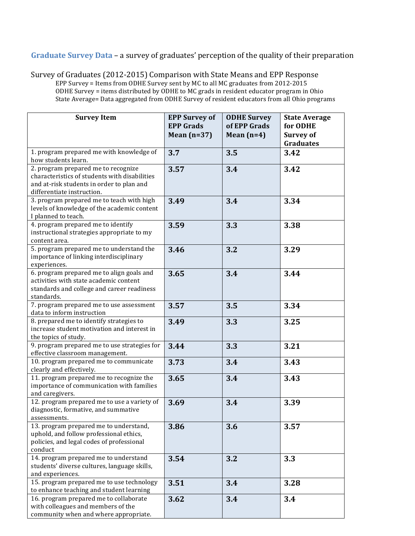# **Graduate Survey Data** – a survey of graduates' perception of the quality of their preparation

Survey of Graduates (2012-2015) Comparison with State Means and EPP Response EPP Survey = Items from ODHE Survey sent by MC to all MC graduates from 2012-2015 ODHE Survey = items distributed by ODHE to MC grads in resident educator program in Ohio State Average= Data aggregated from ODHE Survey of resident educators from all Ohio programs

| <b>Survey Item</b>                                        | <b>EPP Survey of</b> | <b>ODHE Survey</b> | <b>State Average</b> |
|-----------------------------------------------------------|----------------------|--------------------|----------------------|
|                                                           | <b>EPP Grads</b>     | of EPP Grads       | for ODHE             |
|                                                           | Mean $(n=37)$        | Mean $(n=4)$       | <b>Survey of</b>     |
|                                                           |                      |                    | <b>Graduates</b>     |
| 1. program prepared me with knowledge of                  | 3.7                  | 3.5                | 3.42                 |
| how students learn.                                       |                      |                    |                      |
| 2. program prepared me to recognize                       | 3.57                 | 3.4                | 3.42                 |
| characteristics of students with disabilities             |                      |                    |                      |
| and at-risk students in order to plan and                 |                      |                    |                      |
| differentiate instruction.                                |                      |                    |                      |
| 3. program prepared me to teach with high                 | 3.49                 | 3.4                | 3.34                 |
| levels of knowledge of the academic content               |                      |                    |                      |
| I planned to teach.                                       |                      |                    |                      |
| 4. program prepared me to identify                        | 3.59                 | 3.3                | 3.38                 |
| instructional strategies appropriate to my                |                      |                    |                      |
| content area.<br>5. program prepared me to understand the |                      |                    |                      |
| importance of linking interdisciplinary                   | 3.46                 | 3.2                | 3.29                 |
| experiences.                                              |                      |                    |                      |
| 6. program prepared me to align goals and                 | 3.65                 | 3.4                | 3.44                 |
| activities with state academic content                    |                      |                    |                      |
| standards and college and career readiness                |                      |                    |                      |
| standards.                                                |                      |                    |                      |
| 7. program prepared me to use assessment                  | 3.57                 | 3.5                | 3.34                 |
| data to inform instruction                                |                      |                    |                      |
| 8. prepared me to identify strategies to                  | 3.49                 | 3.3                | 3.25                 |
| increase student motivation and interest in               |                      |                    |                      |
| the topics of study.                                      |                      |                    |                      |
| 9. program prepared me to use strategies for              | 3.44                 | 3.3                | 3.21                 |
| effective classroom management.                           |                      |                    |                      |
| 10. program prepared me to communicate                    | 3.73                 | 3.4                | 3.43                 |
| clearly and effectively.                                  |                      |                    |                      |
| 11. program prepared me to recognize the                  | 3.65                 | 3.4                | 3.43                 |
| importance of communication with families                 |                      |                    |                      |
| and caregivers.                                           |                      |                    |                      |
| 12. program prepared me to use a variety of               | 3.69                 | 3.4                | 3.39                 |
| diagnostic, formative, and summative<br>assessments.      |                      |                    |                      |
| 13. program prepared me to understand,                    | 3.86                 | 3.6                | 3.57                 |
| uphold, and follow professional ethics,                   |                      |                    |                      |
| policies, and legal codes of professional                 |                      |                    |                      |
| conduct                                                   |                      |                    |                      |
| 14. program prepared me to understand                     | 3.54                 | 3.2                | 3.3                  |
| students' diverse cultures, language skills,              |                      |                    |                      |
| and experiences.                                          |                      |                    |                      |
| 15. program prepared me to use technology                 | 3.51                 | 3.4                | 3.28                 |
| to enhance teaching and student learning                  |                      |                    |                      |
| 16. program prepared me to collaborate                    | 3.62                 | 3.4                | 3.4                  |
| with colleagues and members of the                        |                      |                    |                      |
| community when and where appropriate.                     |                      |                    |                      |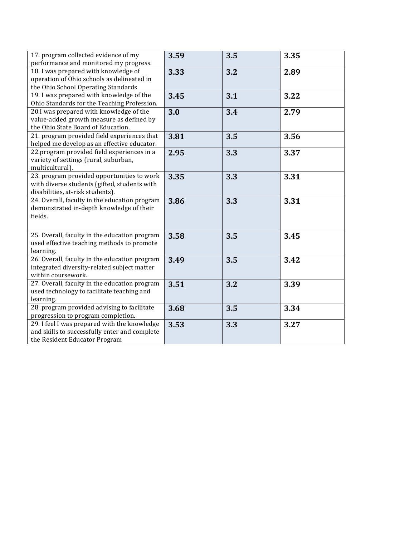| 17. program collected evidence of my<br>performance and monitored my progress.                                                 | 3.59 | 3.5 | 3.35 |
|--------------------------------------------------------------------------------------------------------------------------------|------|-----|------|
| 18. I was prepared with knowledge of<br>operation of Ohio schools as delineated in<br>the Ohio School Operating Standards      | 3.33 | 3.2 | 2.89 |
| 19. I was prepared with knowledge of the<br>Ohio Standards for the Teaching Profession.                                        | 3.45 | 3.1 | 3.22 |
| 20.I was prepared with knowledge of the<br>value-added growth measure as defined by<br>the Ohio State Board of Education.      | 3.0  | 3.4 | 2.79 |
| 21. program provided field experiences that<br>helped me develop as an effective educator.                                     | 3.81 | 3.5 | 3.56 |
| 22.program provided field experiences in a<br>variety of settings (rural, suburban,<br>multicultural).                         | 2.95 | 3.3 | 3.37 |
| 23. program provided opportunities to work<br>with diverse students (gifted, students with<br>disabilities, at-risk students). | 3.35 | 3.3 | 3.31 |
| 24. Overall, faculty in the education program<br>demonstrated in-depth knowledge of their<br>fields.                           | 3.86 | 3.3 | 3.31 |
| 25. Overall, faculty in the education program<br>used effective teaching methods to promote<br>learning.                       | 3.58 | 3.5 | 3.45 |
| 26. Overall, faculty in the education program<br>integrated diversity-related subject matter<br>within coursework.             | 3.49 | 3.5 | 3.42 |
| 27. Overall, faculty in the education program<br>used technology to facilitate teaching and<br>learning.                       | 3.51 | 3.2 | 3.39 |
| 28. program provided advising to facilitate<br>progression to program completion.                                              | 3.68 | 3.5 | 3.34 |
| 29. I feel I was prepared with the knowledge<br>and skills to successfully enter and complete<br>the Resident Educator Program | 3.53 | 3.3 | 3.27 |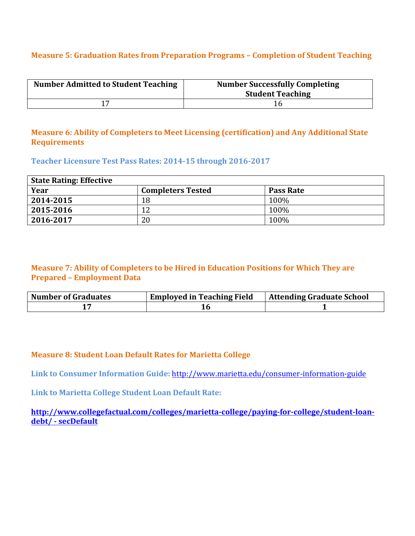# **Measure 5: Graduation Rates from Preparation Programs - Completion of Student Teaching**

| <b>Number Admitted to Student Teaching</b> | <b>Number Successfully Completing</b><br><b>Student Teaching</b> |
|--------------------------------------------|------------------------------------------------------------------|
|                                            |                                                                  |

## **Measure 6: Ability of Completers to Meet Licensing (certification) and Any Additional State Requirements**

#### Teacher Licensure Test Pass Rates: 2014-15 through 2016-2017

| <b>State Rating: Effective</b> |                          |                  |
|--------------------------------|--------------------------|------------------|
| Year                           | <b>Completers Tested</b> | <b>Pass Rate</b> |
| 2014-2015                      | 18                       | 100%             |
| 2015-2016                      | 12                       | 100%             |
| 2016-2017                      | 20                       | 100%             |

## **Measure 7: Ability of Completers to be Hired in Education Positions for Which They are Prepared – Employment Data**

| <b>Number of Graduates</b> | <b>Employed in Teaching Field</b> | <b>Attending Graduate School</b> |
|----------------------------|-----------------------------------|----------------------------------|
|                            |                                   |                                  |

## **Measure 8: Student Loan Default Rates for Marietta College**

Link to Consumer Information Guide: http://www.marietta.edu/consumer-information-guide

**Link to Marietta College Student Loan Default Rate:** 

**http://www.collegefactual.com/colleges/marietta-college/paying-for-college/student-loandebt/ - secDefault**